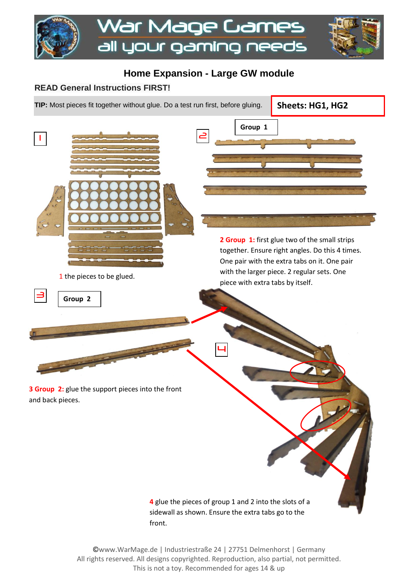

## **Home Expansion - Large GW module**

**Group 1**

## **READ General Instructions FIRST!**

**TIP:** Most pieces fit together without glue. Do a test run first, before gluing.

**Sheets: HG1, HG2**



1 the pieces to be glued.



**2 Group 1:** first glue two of the small strips together. Ensure right angles. Do this 4 times. One pair with the extra tabs on it. One pair with the larger piece. 2 regular sets. One piece with extra tabs by itself.

**3 Group 2:** glue the support pieces into the front and back pieces.

> **4** glue the pieces of group 1 and 2 into the slots of a sidewall as shown. Ensure the extra tabs go to the front.

4

©www.WarMage.de | Industriestraße 24 | 27751 Delmenhorst | Germany All rights reserved. All designs copyrighted. Reproduction, also partial, not permitted. This is not a toy. Recommended for ages 14 & up